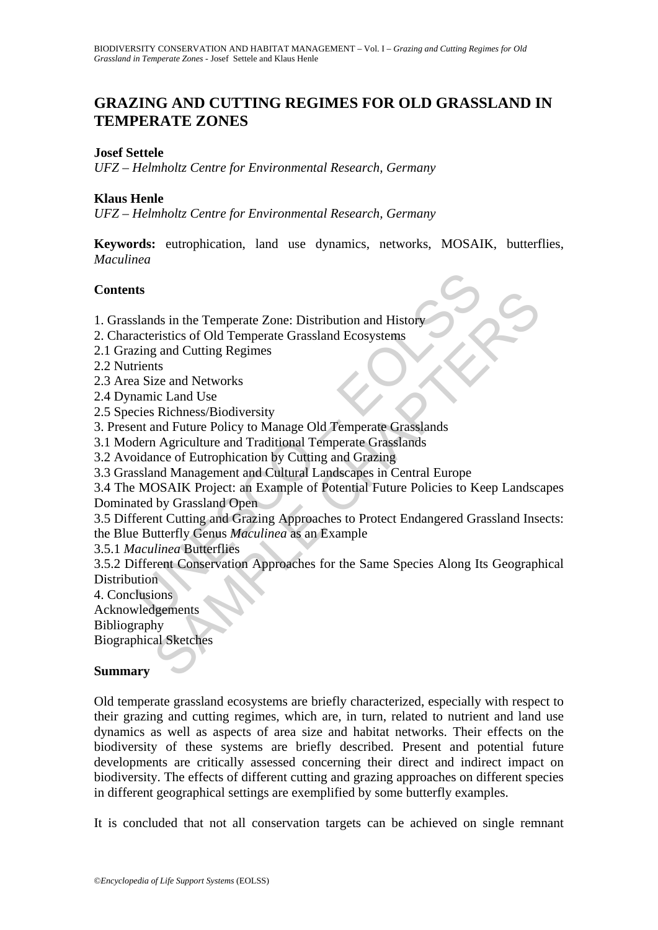# **GRAZING AND CUTTING REGIMES FOR OLD GRASSLAND IN TEMPERATE ZONES**

#### **Josef Settele**

*UFZ – Helmholtz Centre for Environmental Research, Germany* 

#### **Klaus Henle**

*UFZ – Helmholtz Centre for Environmental Research, Germany* 

**Keywords:** eutrophication, land use dynamics, networks, MOSAIK, butterflies, *Maculinea*

#### **Contents**

- 1. Grasslands in the Temperate Zone: Distribution and History
- 2. Characteristics of Old Temperate Grassland Ecosystems
- 2.1 Grazing and Cutting Regimes
- 2.2 Nutrients
- 2.3 Area Size and Networks
- 2.4 Dynamic Land Use
- 2.5 Species Richness/Biodiversity
- 3. Present and Future Policy to Manage Old Temperate Grasslands
- 3.1 Modern Agriculture and Traditional Temperate Grasslands
- 3.2 Avoidance of Eutrophication by Cutting and Grazing
- 3.3 Grassland Management and Cultural Landscapes in Central Europe

**ts**<br>
slands in the Temperate Zone: Distribution and History<br>
slands in the Temperate Crassland Ecosystems<br>
zing and Cutting Regimes<br>
rients<br>
as Size and Networks<br>
realistic Land Use<br>
cies Richness/Biodiversity<br>
ont and Fu Most in the Temperate Zone: Distribution and History<br>
Straitics of Old Temperate Grassland Ecosystems<br>
States and Cutting Regimes<br>
States and Networks<br>
States and Networks<br>
States and Networks<br>
States and Traditional Tempe 3.4 The MOSAIK Project: an Example of Potential Future Policies to Keep Landscapes Dominated by Grassland Open

3.5 Different Cutting and Grazing Approaches to Protect Endangered Grassland Insects: the Blue Butterfly Genus *Maculinea* as an Example

3.5.1 *Maculinea* Butterflies

3.5.2 Different Conservation Approaches for the Same Species Along Its Geographical **Distribution** 

- 4. Conclusions
- Acknowledgements
- Bibliography

Biographical Sketches

#### **Summary**

Old temperate grassland ecosystems are briefly characterized, especially with respect to their grazing and cutting regimes, which are, in turn, related to nutrient and land use dynamics as well as aspects of area size and habitat networks. Their effects on the biodiversity of these systems are briefly described. Present and potential future developments are critically assessed concerning their direct and indirect impact on biodiversity. The effects of different cutting and grazing approaches on different species in different geographical settings are exemplified by some butterfly examples.

It is concluded that not all conservation targets can be achieved on single remnant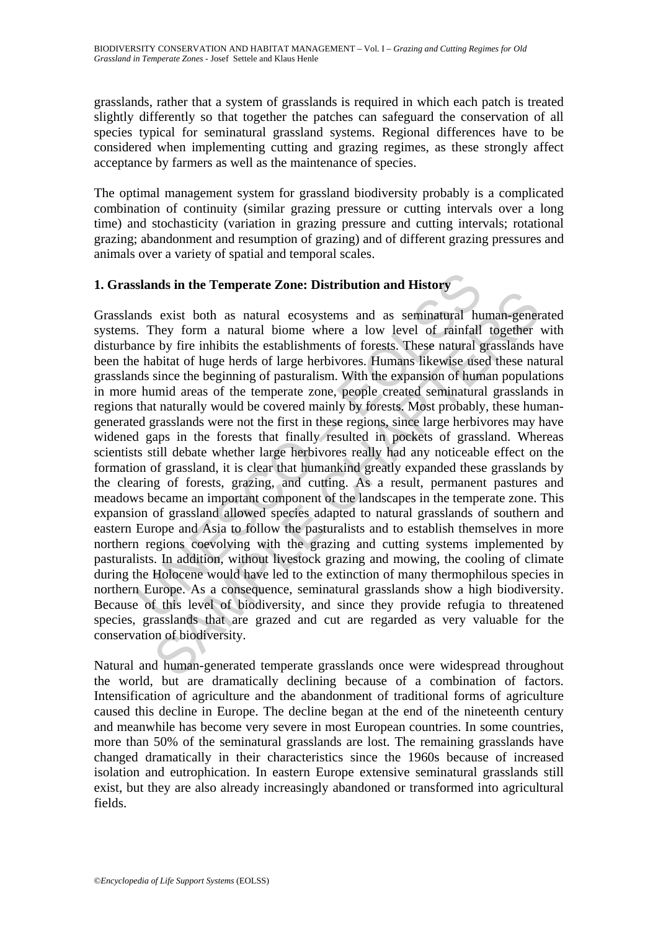grasslands, rather that a system of grasslands is required in which each patch is treated slightly differently so that together the patches can safeguard the conservation of all species typical for seminatural grassland systems. Regional differences have to be considered when implementing cutting and grazing regimes, as these strongly affect acceptance by farmers as well as the maintenance of species.

The optimal management system for grassland biodiversity probably is a complicated combination of continuity (similar grazing pressure or cutting intervals over a long time) and stochasticity (variation in grazing pressure and cutting intervals; rotational grazing; abandonment and resumption of grazing) and of different grazing pressures and animals over a variety of spatial and temporal scales.

## **1. Grasslands in the Temperate Zone: Distribution and History**

slands in the Temperate Zone: Distribution and History<br>
mds exist both as natural ecosystems and as seminatural hu<br>
They form a natural biome where a low level of rainfall<br>
mce by fire inhibits the establishments of forest exist both as natural ecosystems and as seminatural human-gener<br>exist both as natural biome where a low level of rainfall together<br>they form a natural biome where a low level of rainfall together<br>e by fire inhibits the est Grasslands exist both as natural ecosystems and as seminatural human-generated systems. They form a natural biome where a low level of rainfall together with disturbance by fire inhibits the establishments of forests. These natural grasslands have been the habitat of huge herds of large herbivores. Humans likewise used these natural grasslands since the beginning of pasturalism. With the expansion of human populations in more humid areas of the temperate zone, people created seminatural grasslands in regions that naturally would be covered mainly by forests. Most probably, these humangenerated grasslands were not the first in these regions, since large herbivores may have widened gaps in the forests that finally resulted in pockets of grassland. Whereas scientists still debate whether large herbivores really had any noticeable effect on the formation of grassland, it is clear that humankind greatly expanded these grasslands by the clearing of forests, grazing, and cutting. As a result, permanent pastures and meadows became an important component of the landscapes in the temperate zone. This expansion of grassland allowed species adapted to natural grasslands of southern and eastern Europe and Asia to follow the pasturalists and to establish themselves in more northern regions coevolving with the grazing and cutting systems implemented by pasturalists. In addition, without livestock grazing and mowing, the cooling of climate during the Holocene would have led to the extinction of many thermophilous species in northern Europe. As a consequence, seminatural grasslands show a high biodiversity. Because of this level of biodiversity, and since they provide refugia to threatened species, grasslands that are grazed and cut are regarded as very valuable for the conservation of biodiversity.

Natural and human-generated temperate grasslands once were widespread throughout the world, but are dramatically declining because of a combination of factors. Intensification of agriculture and the abandonment of traditional forms of agriculture caused this decline in Europe. The decline began at the end of the nineteenth century and meanwhile has become very severe in most European countries. In some countries, more than 50% of the seminatural grasslands are lost. The remaining grasslands have changed dramatically in their characteristics since the 1960s because of increased isolation and eutrophication. In eastern Europe extensive seminatural grasslands still exist, but they are also already increasingly abandoned or transformed into agricultural fields.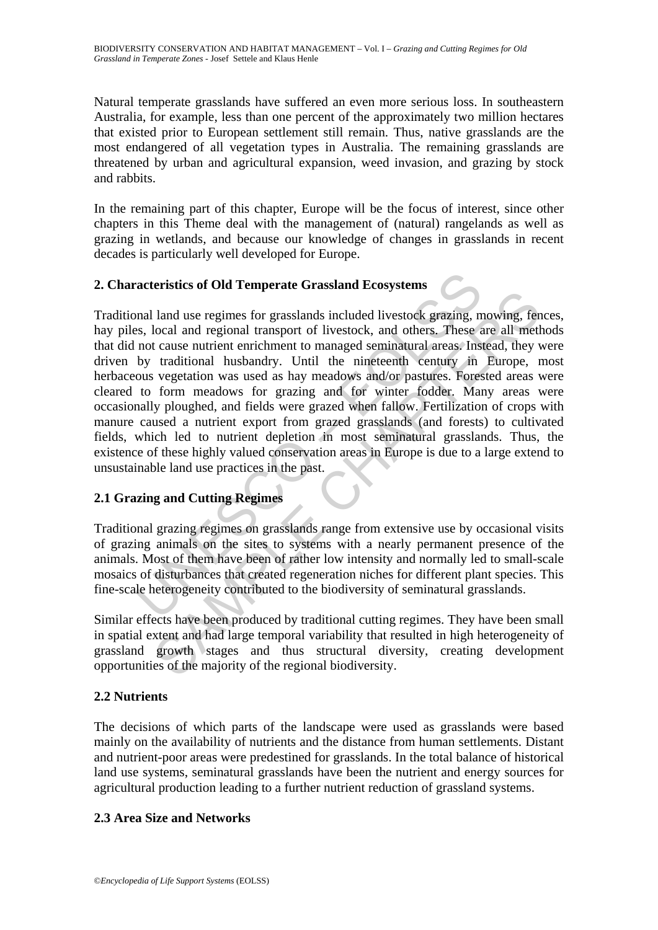Natural temperate grasslands have suffered an even more serious loss. In southeastern Australia, for example, less than one percent of the approximately two million hectares that existed prior to European settlement still remain. Thus, native grasslands are the most endangered of all vegetation types in Australia. The remaining grasslands are threatened by urban and agricultural expansion, weed invasion, and grazing by stock and rabbits.

In the remaining part of this chapter, Europe will be the focus of interest, since other chapters in this Theme deal with the management of (natural) rangelands as well as grazing in wetlands, and because our knowledge of changes in grasslands in recent decades is particularly well developed for Europe.

## **2. Characteristics of Old Temperate Grassland Ecosystems**

**acteristics of Old Temperate Grassland Ecosystems**<br>
mal land use regimes for grasslands included livestock grazing, m<br>
ss, local and regional transport of livestock, and others. These a<br>
not cause nutrient enrichment to m I and use regimes for grasslands included livestock grazing, mowing, fermed can regional transport of livestock, and others. These are all met<br>t cause nutrient enrinchment to managed seminatural areas. Instead, they tradit Traditional land use regimes for grasslands included livestock grazing, mowing, fences, hay piles, local and regional transport of livestock, and others. These are all methods that did not cause nutrient enrichment to managed seminatural areas. Instead, they were driven by traditional husbandry. Until the nineteenth century in Europe, most herbaceous vegetation was used as hay meadows and/or pastures. Forested areas were cleared to form meadows for grazing and for winter fodder. Many areas were occasionally ploughed, and fields were grazed when fallow. Fertilization of crops with manure caused a nutrient export from grazed grasslands (and forests) to cultivated fields, which led to nutrient depletion in most seminatural grasslands. Thus, the existence of these highly valued conservation areas in Europe is due to a large extend to unsustainable land use practices in the past.

## **2.1 Grazing and Cutting Regimes**

Traditional grazing regimes on grasslands range from extensive use by occasional visits of grazing animals on the sites to systems with a nearly permanent presence of the animals. Most of them have been of rather low intensity and normally led to small-scale mosaics of disturbances that created regeneration niches for different plant species. This fine-scale heterogeneity contributed to the biodiversity of seminatural grasslands.

Similar effects have been produced by traditional cutting regimes. They have been small in spatial extent and had large temporal variability that resulted in high heterogeneity of grassland growth stages and thus structural diversity, creating development opportunities of the majority of the regional biodiversity.

## **2.2 Nutrients**

The decisions of which parts of the landscape were used as grasslands were based mainly on the availability of nutrients and the distance from human settlements. Distant and nutrient-poor areas were predestined for grasslands. In the total balance of historical land use systems, seminatural grasslands have been the nutrient and energy sources for agricultural production leading to a further nutrient reduction of grassland systems.

## **2.3 Area Size and Networks**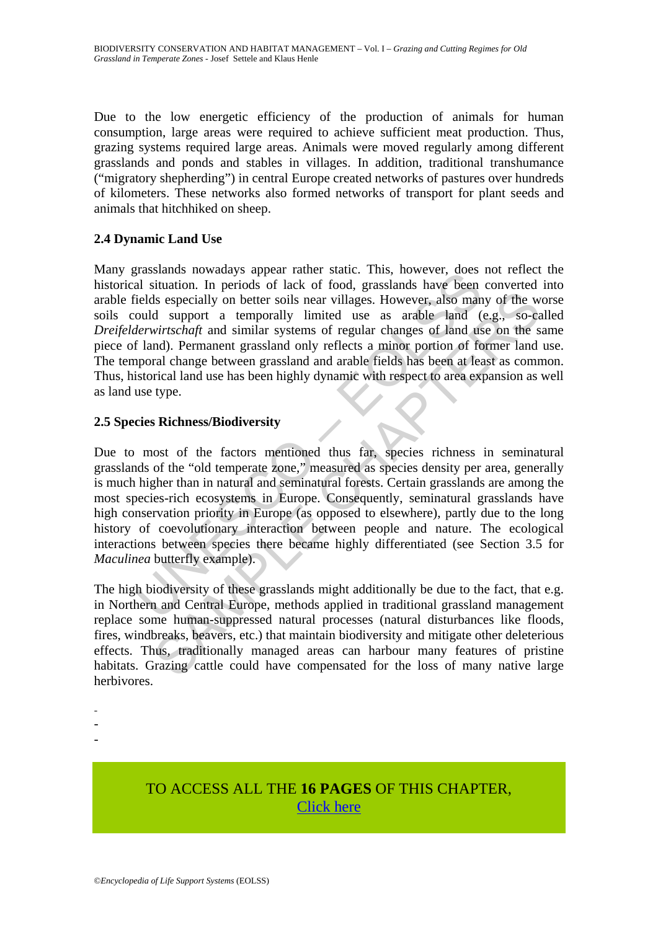Due to the low energetic efficiency of the production of animals for human consumption, large areas were required to achieve sufficient meat production. Thus, grazing systems required large areas. Animals were moved regularly among different grasslands and ponds and stables in villages. In addition, traditional transhumance ("migratory shepherding") in central Europe created networks of pastures over hundreds of kilometers. These networks also formed networks of transport for plant seeds and animals that hitchhiked on sheep.

## **2.4 Dynamic Land Use**

risasianas in wowards appear atance state. This, however, does<br>al situation. In periods of lack of food, grasslands have been<br>ields especially on better soils near villages. However, also man<br>ould support a temporally limi Many grasslands nowadays appear rather static. This, however, does not reflect the historical situation. In periods of lack of food, grasslands have been converted into arable fields especially on better soils near villages. However, also many of the worse soils could support a temporally limited use as arable land (e.g., so-called *Dreifelderwirtschaft* and similar systems of regular changes of land use on the same piece of land). Permanent grassland only reflects a minor portion of former land use. The temporal change between grassland and arable fields has been at least as common. Thus, historical land use has been highly dynamic with respect to area expansion as well as land use type.

## **2.5 Species Richness/Biodiversity**

Is especially on better soils near villages. However, also many of the way of the starpeoid of the mornally limited use as a rable land (e.g., so-cally a virtucle also many of the way wirtschaft and similar systems of regu Due to most of the factors mentioned thus far, species richness in seminatural grasslands of the "old temperate zone," measured as species density per area, generally is much higher than in natural and seminatural forests. Certain grasslands are among the most species-rich ecosystems in Europe. Consequently, seminatural grasslands have high conservation priority in Europe (as opposed to elsewhere), partly due to the long history of coevolutionary interaction between people and nature. The ecological interactions between species there became highly differentiated (see Section 3.5 for *Maculinea* butterfly example).

The high biodiversity of these grasslands might additionally be due to the fact, that e.g. in Northern and Central Europe, methods applied in traditional grassland management replace some human-suppressed natural processes (natural disturbances like floods, fires, windbreaks, beavers, etc.) that maintain biodiversity and mitigate other deleterious effects. Thus, traditionally managed areas can harbour many features of pristine habitats. Grazing cattle could have compensated for the loss of many native large herbivores.

-

-

-

# TO ACCESS ALL THE **16 PAGES** OF THIS CHAPTER, [Click here](https://www.eolss.net/ebooklib/sc_cart.aspx?File=E1-67-03-02)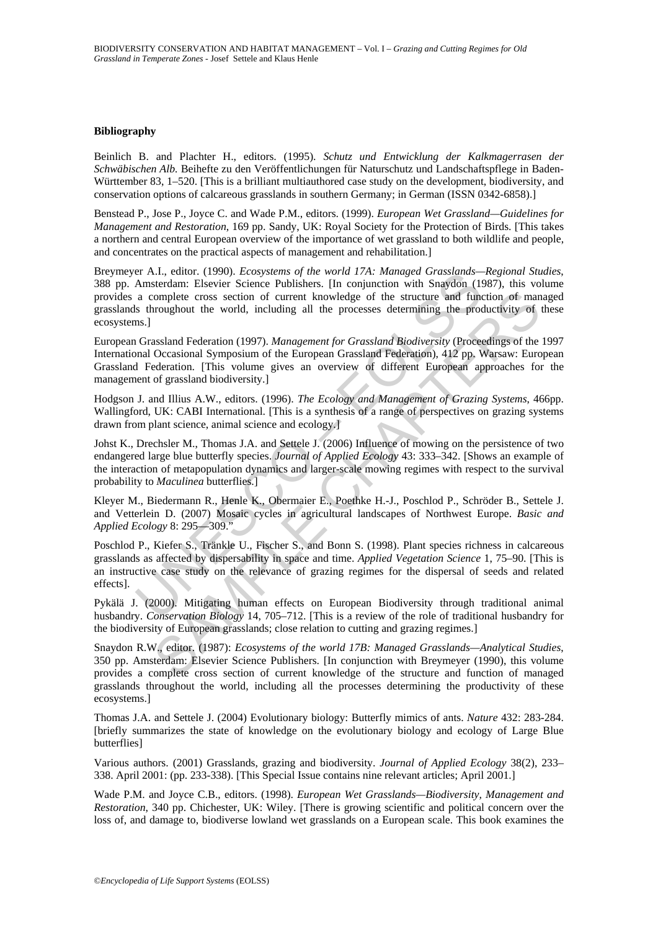#### **Bibliography**

Beinlich B. and Plachter H., editors. (1995). *Schutz und Entwicklung der Kalkmagerrasen der Schwäbischen Alb.* Beihefte zu den Veröffentlichungen für Naturschutz und Landschaftspflege in Baden-Württember 83, 1–520. [This is a brilliant multiauthored case study on the development, biodiversity, and conservation options of calcareous grasslands in southern Germany; in German (ISSN 0342-6858).]

Benstead P., Jose P., Joyce C. and Wade P.M., editors. (1999). *European Wet Grassland—Guidelines for Management and Restoration*, 169 pp. Sandy, UK: Royal Society for the Protection of Birds. [This takes a northern and central European overview of the importance of wet grassland to both wildlife and people, and concentrates on the practical aspects of management and rehabilitation.]

r A.l., eatior. (1990). *Ecosystems of the world 1/A: Managed Grasslands*<br>
Amsterdam: Elsevier Science Publishers. [In conjunction with Shaydon (19<br>
a complete cross section of current knowledge of the structure and fund<br> Breymeyer A.I., editor. (1990). *Ecosystems of the world 17A: Managed Grasslands—Regional Studies*, 388 pp. Amsterdam: Elsevier Science Publishers. [In conjunction with Snaydon (1987), this volume provides a complete cross section of current knowledge of the structure and function of managed grasslands throughout the world, including all the processes determining the productivity of these ecosystems.]

European Grassland Federation (1997). *Management for Grassland Biodiversity* (Proceedings of the 1997 International Occasional Symposium of the European Grassland Federation), 412 pp. Warsaw: European Grassland Federation. [This volume gives an overview of different European approaches for the management of grassland biodiversity.]

Hodgson J. and Illius A.W., editors. (1996). *The Ecology and Management of Grazing Systems*, 466pp. Wallingford, UK: CABI International. [This is a synthesis of a range of perspectives on grazing systems drawn from plant science, animal science and ecology.]

complete cross section of current knowledge<sup>o</sup> of the structure and function of manoughout the world, including all the processes determining the productivity of Occasional Synposium of the European *Systems* of the Cocasi Johst K., Drechsler M., Thomas J.A. and Settele J. (2006) Influence of mowing on the persistence of two endangered large blue butterfly species. *Journal of Applied Ecology* 43: 333–342. [Shows an example of the interaction of metapopulation dynamics and larger-scale mowing regimes with respect to the survival probability to *Maculinea* butterflies.]

Kleyer M., Biedermann R., Henle K., Obermaier E., Poethke H.-J., Poschlod P., Schröder B., Settele J. and Vetterlein D. (2007) Mosaic cycles in agricultural landscapes of Northwest Europe. *Basic and Applied Ecology* 8: 295—309."

Poschlod P., Kiefer S., Tränkle U., Fischer S., and Bonn S. (1998). Plant species richness in calcareous grasslands as affected by dispersability in space and time. *Applied Vegetation Science* 1, 75–90. [This is an instructive case study on the relevance of grazing regimes for the dispersal of seeds and related effects].

Pykälä J. (2000). Mitigating human effects on European Biodiversity through traditional animal husbandry. *Conservation Biology* 14, 705–712. [This is a review of the role of traditional husbandry for the biodiversity of European grasslands; close relation to cutting and grazing regimes.]

Snaydon R.W., editor. (1987): *Ecosystems of the world 17B: Managed Grasslands—Analytical Studies*, 350 pp. Amsterdam: Elsevier Science Publishers. [In conjunction with Breymeyer (1990), this volume provides a complete cross section of current knowledge of the structure and function of managed grasslands throughout the world, including all the processes determining the productivity of these ecosystems.]

Thomas J.A. and Settele J. (2004) Evolutionary biology: Butterfly mimics of ants. *Nature* 432: 283-284. [briefly summarizes the state of knowledge on the evolutionary biology and ecology of Large Blue butterflies]

Various authors. (2001) Grasslands, grazing and biodiversity. *Journal of Applied Ecology* 38(2), 233– 338. April 2001: (pp. 233-338). [This Special Issue contains nine relevant articles; April 2001.]

Wade P.M. and Joyce C.B., editors. (1998). *European Wet Grasslands—Biodiversity, Management and Restoration*, 340 pp. Chichester, UK: Wiley. [There is growing scientific and political concern over the loss of, and damage to, biodiverse lowland wet grasslands on a European scale. This book examines the